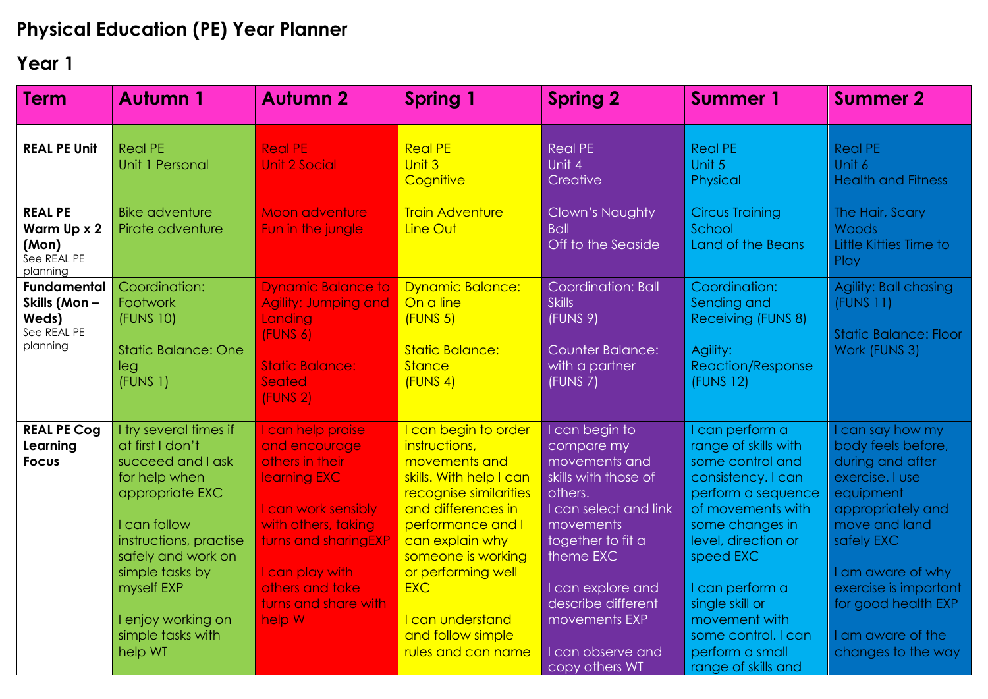## **Physical Education (PE) Year Planner**

## **Year 1**

| <b>Term</b>                                                            | <b>Autumn 1</b>                                                                                                                                                                                      | <b>Autumn 2</b>                                                                                                                                                                   | <b>Spring 1</b>                                                                                                                                                                                                                     | <b>Spring 2</b>                                                                                                                                                               | <b>Summer 1</b>                                                                                                                                                                                        | <b>Summer 2</b>                                                                                                                                                                              |
|------------------------------------------------------------------------|------------------------------------------------------------------------------------------------------------------------------------------------------------------------------------------------------|-----------------------------------------------------------------------------------------------------------------------------------------------------------------------------------|-------------------------------------------------------------------------------------------------------------------------------------------------------------------------------------------------------------------------------------|-------------------------------------------------------------------------------------------------------------------------------------------------------------------------------|--------------------------------------------------------------------------------------------------------------------------------------------------------------------------------------------------------|----------------------------------------------------------------------------------------------------------------------------------------------------------------------------------------------|
| <b>REAL PE Unit</b>                                                    | <b>Real PE</b><br>Unit 1 Personal                                                                                                                                                                    | <b>Real PE</b><br>Unit 2 Social                                                                                                                                                   | <b>Real PE</b><br>Unit 3<br>Cognitive                                                                                                                                                                                               | <b>Real PE</b><br>Unit 4<br>Creative                                                                                                                                          | <b>Real PE</b><br>Unit 5<br>Physical                                                                                                                                                                   | <b>Real PE</b><br>Unit 6<br><b>Health and Fitness</b>                                                                                                                                        |
| <b>REAL PE</b><br>Warm Up x 2<br>(Mon)<br>See REAL PE<br>planning      | <b>Bike adventure</b><br>Pirate adventure                                                                                                                                                            | <b>Moon adventure</b><br>Fun in the jungle                                                                                                                                        | <b>Train Adventure</b><br>Line Out                                                                                                                                                                                                  | Clown's Naughty<br><b>Ball</b><br>Off to the Seaside                                                                                                                          | <b>Circus Training</b><br>School<br>Land of the Beans                                                                                                                                                  | The Hair, Scary<br>Woods<br>Little Kitties Time to<br>Play                                                                                                                                   |
| <b>Fundamental</b><br>Skills (Mon-<br>Weds)<br>See REAL PE<br>planning | Coordination:<br>Footwork<br>(FUNS 10)<br><b>Static Balance: One</b><br>leg                                                                                                                          | <b>Dynamic Balance to</b><br><b>Agility: Jumping and</b><br>Landing<br>(FUNS 6)<br><b>Static Balance:</b>                                                                         | <b>Dynamic Balance:</b><br>On a line<br>(FUNS <sub>5</sub> )<br><b>Static Balance:</b><br><b>Stance</b>                                                                                                                             | Coordination: Ball<br><b>Skills</b><br>(FUNS 9)<br><b>Counter Balance:</b><br>with a partner                                                                                  | Coordination:<br>Sending and<br>Receiving (FUNS 8)<br>Agility:<br><b>Reaction/Response</b>                                                                                                             | Agility: Ball chasing<br>(FUNS 11)<br><b>Static Balance: Floor</b><br>Work (FUNS 3)                                                                                                          |
|                                                                        | (FUNS 1)                                                                                                                                                                                             | Seated<br>(FUNS <sub>2</sub> )                                                                                                                                                    | (FUNS 4)                                                                                                                                                                                                                            | (FUNS 7)                                                                                                                                                                      | (FUNS 12)                                                                                                                                                                                              |                                                                                                                                                                                              |
| <b>REAL PE Cog</b><br>Learning<br><b>Focus</b>                         | I try several times if<br>at first I don't<br>succeed and I ask<br>for help when<br>appropriate EXC<br>I can follow<br>instructions, practise<br>safely and work on<br>simple tasks by<br>myself EXP | I can help praise<br>and encourage<br>others in their<br>learning EXC<br>I can work sensibly<br>with others, taking<br>turns and sharingEXP<br>I can play with<br>others and take | I can begin to order<br>instructions,<br>movements and<br>skills. With help I can<br>recognise similarities<br>and differences in<br>performance and I<br>can explain why<br>someone is working<br>or performing well<br><b>EXC</b> | I can begin to<br>compare my<br>movements and<br>skills with those of<br>others.<br>I can select and link<br>movements<br>together to fit a<br>theme EXC<br>I can explore and | I can perform a<br>range of skills with<br>some control and<br>consistency. I can<br>perform a sequence<br>of movements with<br>some changes in<br>level, direction or<br>speed EXC<br>I can perform a | I can say how my<br>body feels before,<br>during and after<br>exercise. I use<br>equipment<br>appropriately and<br>move and land<br>safely EXC<br>I am aware of why<br>exercise is important |
|                                                                        | I enjoy working on<br>simple tasks with<br>help WT                                                                                                                                                   | turns and share with<br>help W                                                                                                                                                    | I can understand<br>and follow simple<br>rules and can name                                                                                                                                                                         | describe different<br>movements EXP<br>I can observe and<br>copy others WT                                                                                                    | single skill or<br>movement with<br>some control. I can<br>perform a small<br>range of skills and                                                                                                      | for good health EXP<br>I am aware of the<br>changes to the way                                                                                                                               |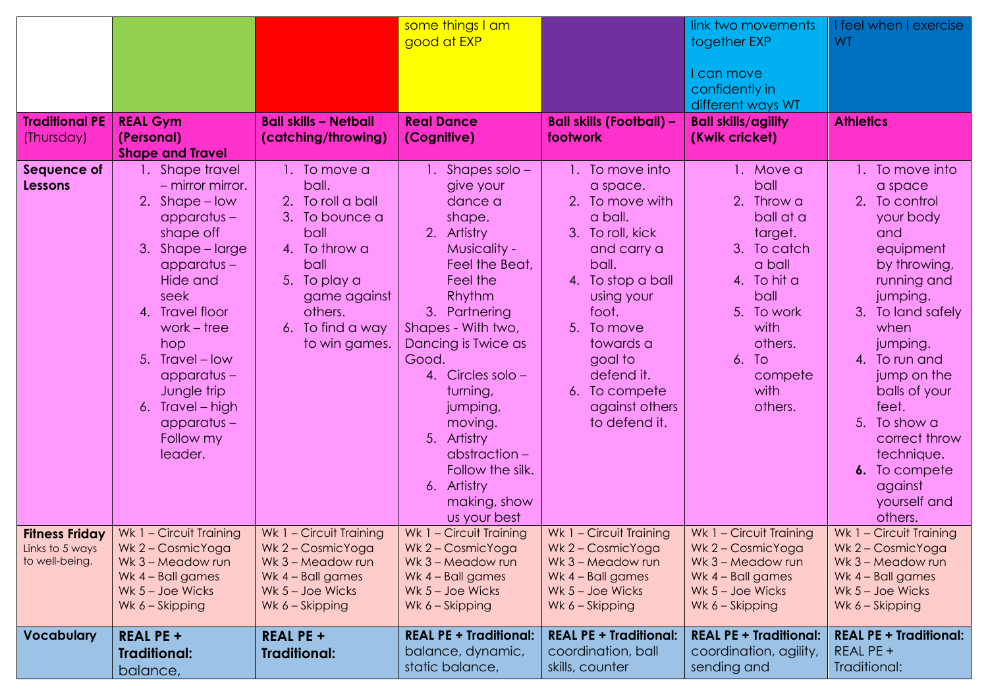|                                                            |                                                                                                                                                                                                                                                                                                              |                                                                                                                                                                                     | some things I am                                                                                                                                                                                                                                                                                                                                           |                                                                                                                                                                                                                                                              | link two movements                                                                                                                                                              | I feel when I exercise<br><b>WT</b>                                                                                                                                                                                                                                                                                              |
|------------------------------------------------------------|--------------------------------------------------------------------------------------------------------------------------------------------------------------------------------------------------------------------------------------------------------------------------------------------------------------|-------------------------------------------------------------------------------------------------------------------------------------------------------------------------------------|------------------------------------------------------------------------------------------------------------------------------------------------------------------------------------------------------------------------------------------------------------------------------------------------------------------------------------------------------------|--------------------------------------------------------------------------------------------------------------------------------------------------------------------------------------------------------------------------------------------------------------|---------------------------------------------------------------------------------------------------------------------------------------------------------------------------------|----------------------------------------------------------------------------------------------------------------------------------------------------------------------------------------------------------------------------------------------------------------------------------------------------------------------------------|
|                                                            |                                                                                                                                                                                                                                                                                                              |                                                                                                                                                                                     | good at EXP                                                                                                                                                                                                                                                                                                                                                |                                                                                                                                                                                                                                                              | together EXP<br>I can move<br>confidently in                                                                                                                                    |                                                                                                                                                                                                                                                                                                                                  |
|                                                            |                                                                                                                                                                                                                                                                                                              |                                                                                                                                                                                     |                                                                                                                                                                                                                                                                                                                                                            |                                                                                                                                                                                                                                                              | different ways WT                                                                                                                                                               |                                                                                                                                                                                                                                                                                                                                  |
| <b>Traditional PE</b><br>(Thursday)                        | <b>REAL Gym</b><br>(Personal)<br><b>Shape and Travel</b>                                                                                                                                                                                                                                                     | <b>Ball skills - Netball</b><br>(catching/throwing)                                                                                                                                 | <b>Real Dance</b><br>(Cognitive)                                                                                                                                                                                                                                                                                                                           | <b>Ball skills (Football) -</b><br>footwork                                                                                                                                                                                                                  | <b>Ball skills/agility</b><br>(Kwik cricket)                                                                                                                                    | <b>Athletics</b>                                                                                                                                                                                                                                                                                                                 |
| Sequence of<br><b>Lessons</b>                              | 1. Shape travel<br>$-$ mirror mirror.<br>2. Shape - low<br>$apparatus -$<br>shape off<br>3.<br>Shape – large<br>$apparatus -$<br>Hide and<br>seek<br>4. Travel floor<br>work $-$ tree<br>hop<br>5. Travel - low<br>$apparatus -$<br>Jungle trip<br>6. Travel - high<br>$apparatus -$<br>Follow my<br>leader. | 1. To move a<br>ball.<br>To roll a ball<br>2.<br>3. To bounce a<br>ball<br>4. To throw a<br>ball<br>5. To play a<br>game against<br>others.<br>To find a way<br>6.<br>to win games. | 1. Shapes solo -<br>give your<br>dance a<br>shape.<br>2. Artistry<br>Musicality -<br>Feel the Beat,<br>Feel the<br>Rhythm<br>3. Partnering<br>Shapes - With two,<br>Dancing is Twice as<br>Good.<br>4. Circles solo -<br>turning,<br>jumping,<br>moving.<br>5. Artistry<br>abstraction-<br>Follow the silk.<br>6. Artistry<br>making, show<br>us your best | 1. To move into<br>a space.<br>2. To move with<br>a ball.<br>3. To roll, kick<br>and carry a<br>ball.<br>4. To stop a ball<br>using your<br>foot.<br>5.<br>To move<br>towards a<br>goal to<br>defend it.<br>6. To compete<br>against others<br>to defend it. | 1. Move a<br>ball<br>2. Throw a<br>ball at a<br>target.<br>3. To catch<br>a ball<br>4. To hit a<br>ball<br>5. To work<br>with<br>others.<br>6. To<br>compete<br>with<br>others. | 1. To move into<br>a space<br>2. To control<br>your body<br>and<br>equipment<br>by throwing,<br>running and<br>jumping.<br>3. To land safely<br>when<br>jumping.<br>4. To run and<br>jump on the<br>balls of your<br>feet.<br>5. To show a<br>correct throw<br>technique.<br>6. To compete<br>against<br>yourself and<br>others. |
| <b>Fitness Friday</b><br>Links to 5 ways<br>to well-being. | Wk 1 - Circuit Training<br>Wk 2 - CosmicYoga<br>Wk 3 - Meadow run<br>Wk 4 - Ball games<br>Wk $5 -$ Joe Wicks<br>Wk 6 – Skipping                                                                                                                                                                              | Wk 1 - Circuit Training<br>Wk 2 - CosmicYoga<br>Wk 3 - Meadow run<br>Wk 4 - Ball games<br>Wk $5 -$ Joe Wicks<br>Wk 6 - Skipping                                                     | Wk 1 - Circuit Training<br>Wk 2 - CosmicYoga<br>Wk 3 - Meadow run<br>Wk 4 - Ball games<br>Wk $5 -$ Joe Wicks<br>Wk 6 - Skipping                                                                                                                                                                                                                            | Wk 1 - Circuit Training<br>Wk 2 - CosmicYoga<br>Wk 3 - Meadow run<br>Wk 4 - Ball games<br>Wk $5 -$ Joe Wicks<br>Wk 6 - Skipping                                                                                                                              | Wk 1 - Circuit Training<br>Wk 2 - CosmicYoga<br>Wk 3 - Meadow run<br>Wk 4 - Ball games<br>Wk $5 -$ Joe Wicks<br>Wk 6 – Skipping                                                 | Wk 1 - Circuit Training<br>Wk 2 - CosmicYoga<br>Wk 3 - Meadow run<br>Wk 4 - Ball games<br>Wk 5 - Joe Wicks<br>Wk 6 - Skipping                                                                                                                                                                                                    |
| <b>Vocabulary</b>                                          | <b>REAL PE +</b><br><b>Traditional:</b><br>balance,                                                                                                                                                                                                                                                          | <b>REAL PE +</b><br><b>Traditional:</b>                                                                                                                                             | <b>REAL PE + Traditional:</b><br>balance, dynamic,<br>static balance,                                                                                                                                                                                                                                                                                      | <b>REAL PE + Traditional:</b><br>coordination, ball<br>skills, counter                                                                                                                                                                                       | <b>REAL PE + Traditional:</b><br>coordination, agility,<br>sending and                                                                                                          | <b>REAL PE + Traditional:</b><br>REAL PE +<br>Traditional:                                                                                                                                                                                                                                                                       |